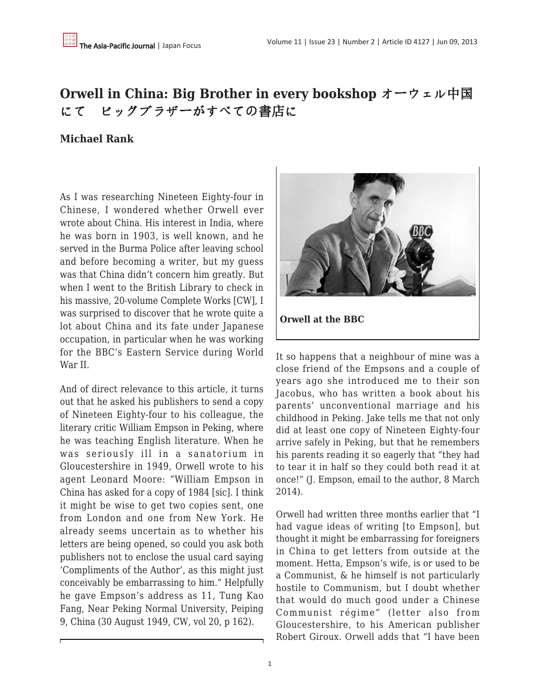## **Orwell in China: Big Brother in every bookshop** オーウェル中国 にて ビッグブラザーがすべての書店に

## **Michael Rank**

As I was researching Nineteen Eighty-four in Chinese, I wondered whether Orwell ever wrote about China. His interest in India, where he was born in 1903, is well known, and he served in the Burma Police after leaving school and before becoming a writer, but my guess was that China didn't concern him greatly. But when I went to the British Library to check in his massive, 20-volume Complete Works [CW], I was surprised to discover that he wrote quite a lot about China and its fate under Japanese occupation, in particular when he was working for the BBC's Eastern Service during World War II.

And of direct relevance to this article, it turns out that he asked his publishers to send a copy of Nineteen Eighty-four to his colleague, the literary critic William Empson in Peking, where he was teaching English literature. When he was seriously ill in a sanatorium in Gloucestershire in 1949, Orwell wrote to his agent Leonard Moore: "William Empson in China has asked for a copy of 1984 [sic]. I think it might be wise to get two copies sent, one from London and one from New York. He already seems uncertain as to whether his letters are being opened, so could you ask both publishers not to enclose the usual card saying 'Compliments of the Author', as this might just conceivably be embarrassing to him." Helpfully he gave Empson's address as 11, Tung Kao Fang, Near Peking Normal University, Peiping 9, China (30 August 1949, CW, vol 20, p 162).



It so happens that a neighbour of mine was a close friend of the Empsons and a couple of years ago she introduced me to their son Jacobus, who has written a book about his parents' unconventional marriage and his childhood in Peking. Jake tells me that not only did at least one copy of Nineteen Eighty-four arrive safely in Peking, but that he remembers his parents reading it so eagerly that "they had to tear it in half so they could both read it at once!" (J. Empson, email to the author, 8 March 2014).

Orwell had written three months earlier that "I had vague ideas of writing [to Empson], but thought it might be embarrassing for foreigners in China to get letters from outside at the moment. Hetta, Empson's wife, is or used to be a Communist, & he himself is not particularly hostile to Communism, but I doubt whether that would do much good under a Chinese Communist régime" (letter also from Gloucestershire, to his American publisher Robert Giroux. Orwell adds that "I have been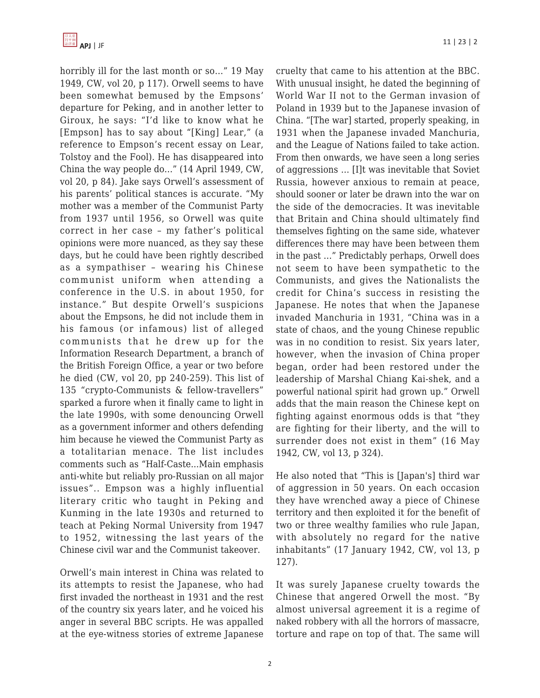horribly ill for the last month or so…" 19 May 1949, CW, vol 20, p 117). Orwell seems to have been somewhat bemused by the Empsons' departure for Peking, and in another letter to Giroux, he says: "I'd like to know what he [Empson] has to say about "[King] Lear," (a reference to Empson's recent essay on Lear, Tolstoy and the Fool). He has disappeared into China the way people do…" (14 April 1949, CW, vol 20, p 84). Jake says Orwell's assessment of his parents' political stances is accurate. "My mother was a member of the Communist Party from 1937 until 1956, so Orwell was quite correct in her case – my father's political opinions were more nuanced, as they say these days, but he could have been rightly described as a sympathiser – wearing his Chinese communist uniform when attending a conference in the U.S. in about 1950, for instance." But despite Orwell's suspicions about the Empsons, he did not include them in his famous (or infamous) list of alleged communists that he drew up for the Information Research Department, a branch of the British Foreign Office, a year or two before he died (CW, vol 20, pp 240-259). This list of 135 "crypto-Communists & fellow-travellers" sparked a furore when it finally came to light in the late 1990s, with some denouncing Orwell as a government informer and others defending him because he viewed the Communist Party as a totalitarian menace. The list includes comments such as "Half-Caste...Main emphasis anti-white but reliably pro-Russian on all major issues".. Empson was a highly influential literary critic who taught in Peking and Kunming in the late 1930s and returned to teach at Peking Normal University from 1947 to 1952, witnessing the last years of the Chinese civil war and the Communist takeover.

Orwell's main interest in China was related to its attempts to resist the Japanese, who had first invaded the northeast in 1931 and the rest of the country six years later, and he voiced his anger in several BBC scripts. He was appalled at the eye-witness stories of extreme Japanese cruelty that came to his attention at the BBC. With unusual insight, he dated the beginning of World War II not to the German invasion of Poland in 1939 but to the Japanese invasion of China. "[The war] started, properly speaking, in 1931 when the Japanese invaded Manchuria, and the League of Nations failed to take action. From then onwards, we have seen a long series of aggressions … [I]t was inevitable that Soviet Russia, however anxious to remain at peace, should sooner or later be drawn into the war on the side of the democracies. It was inevitable that Britain and China should ultimately find themselves fighting on the same side, whatever differences there may have been between them in the past …" Predictably perhaps, Orwell does not seem to have been sympathetic to the Communists, and gives the Nationalists the credit for China's success in resisting the Japanese. He notes that when the Japanese invaded Manchuria in 1931, "China was in a state of chaos, and the young Chinese republic was in no condition to resist. Six years later, however, when the invasion of China proper began, order had been restored under the leadership of Marshal Chiang Kai-shek, and a powerful national spirit had grown up." Orwell adds that the main reason the Chinese kept on fighting against enormous odds is that "they are fighting for their liberty, and the will to surrender does not exist in them" (16 May 1942, CW, vol 13, p 324).

He also noted that "This is [Japan's] third war of aggression in 50 years. On each occasion they have wrenched away a piece of Chinese territory and then exploited it for the benefit of two or three wealthy families who rule Japan, with absolutely no regard for the native inhabitants" (17 January 1942, CW, vol 13, p 127).

It was surely Japanese cruelty towards the Chinese that angered Orwell the most. "By almost universal agreement it is a regime of naked robbery with all the horrors of massacre, torture and rape on top of that. The same will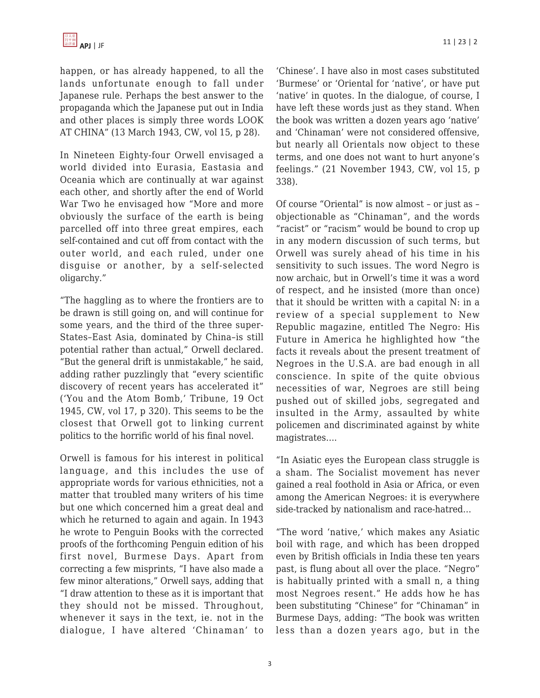happen, or has already happened, to all the lands unfortunate enough to fall under Japanese rule. Perhaps the best answer to the propaganda which the Japanese put out in India and other places is simply three words LOOK AT CHINA" (13 March 1943, CW, vol 15, p 28).

In Nineteen Eighty-four Orwell envisaged a world divided into Eurasia, Eastasia and Oceania which are continually at war against each other, and shortly after the end of World War Two he envisaged how "More and more obviously the surface of the earth is being parcelled off into three great empires, each self-contained and cut off from contact with the outer world, and each ruled, under one disguise or another, by a self-selected oligarchy."

"The haggling as to where the frontiers are to be drawn is still going on, and will continue for some years, and the third of the three super-States–East Asia, dominated by China–is still potential rather than actual," Orwell declared. "But the general drift is unmistakable," he said, adding rather puzzlingly that "every scientific discovery of recent years has accelerated it" ('You and the Atom Bomb,' Tribune, 19 Oct 1945, CW, vol 17, p 320). This seems to be the closest that Orwell got to linking current politics to the horrific world of his final novel.

Orwell is famous for his interest in political language, and this includes the use of appropriate words for various ethnicities, not a matter that troubled many writers of his time but one which concerned him a great deal and which he returned to again and again. In 1943 he wrote to Penguin Books with the corrected proofs of the forthcoming Penguin edition of his first novel, Burmese Days. Apart from correcting a few misprints, "I have also made a few minor alterations," Orwell says, adding that "I draw attention to these as it is important that they should not be missed. Throughout, whenever it says in the text, ie. not in the dialogue, I have altered 'Chinaman' to

'Chinese'. I have also in most cases substituted 'Burmese' or 'Oriental for 'native', or have put 'native' in quotes. In the dialogue, of course, I have left these words just as they stand. When the book was written a dozen years ago 'native' and 'Chinaman' were not considered offensive, but nearly all Orientals now object to these terms, and one does not want to hurt anyone's feelings." (21 November 1943, CW, vol 15, p 338).

Of course "Oriental" is now almost – or just as – objectionable as "Chinaman", and the words "racist" or "racism" would be bound to crop up in any modern discussion of such terms, but Orwell was surely ahead of his time in his sensitivity to such issues. The word Negro is now archaic, but in Orwell's time it was a word of respect, and he insisted (more than once) that it should be written with a capital N: in a review of a special supplement to New Republic magazine, entitled The Negro: His Future in America he highlighted how "the facts it reveals about the present treatment of Negroes in the U.S.A. are bad enough in all conscience. In spite of the quite obvious necessities of war, Negroes are still being pushed out of skilled jobs, segregated and insulted in the Army, assaulted by white policemen and discriminated against by white magistrates….

"In Asiatic eyes the European class struggle is a sham. The Socialist movement has never gained a real foothold in Asia or Africa, or even among the American Negroes: it is everywhere side-tracked by nationalism and race-hatred…

"The word 'native,' which makes any Asiatic boil with rage, and which has been dropped even by British officials in India these ten years past, is flung about all over the place. "Negro" is habitually printed with a small n, a thing most Negroes resent." He adds how he has been substituting "Chinese" for "Chinaman" in Burmese Days, adding: "The book was written less than a dozen years ago, but in the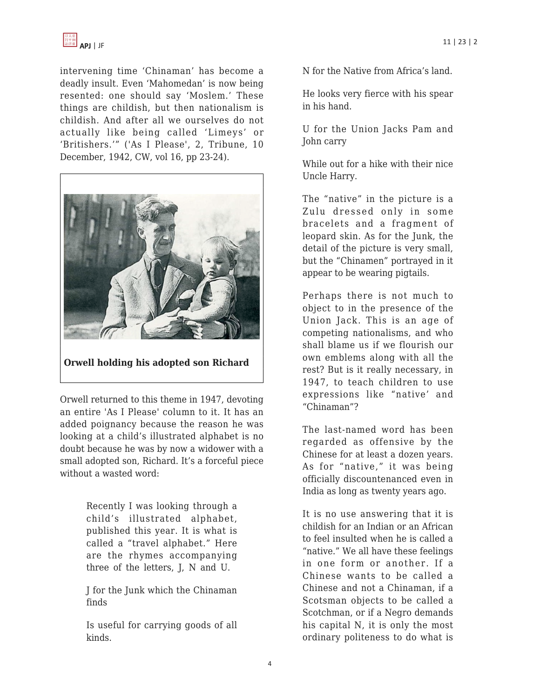

intervening time 'Chinaman' has become a deadly insult. Even 'Mahomedan' is now being resented: one should say 'Moslem.' These things are childish, but then nationalism is childish. And after all we ourselves do not actually like being called 'Limeys' or 'Britishers.'" ('As I Please', 2, Tribune, 10 December, 1942, CW, vol 16, pp 23-24).



**Orwell holding his adopted son Richard**

Orwell returned to this theme in 1947, devoting an entire 'As I Please' column to it. It has an added poignancy because the reason he was looking at a child's illustrated alphabet is no doubt because he was by now a widower with a small adopted son, Richard. It's a forceful piece without a wasted word:

> Recently I was looking through a child's illustrated alphabet, published this year. It is what is called a "travel alphabet." Here are the rhymes accompanying three of the letters, J, N and U.

J for the Junk which the Chinaman finds

Is useful for carrying goods of all kinds.

N for the Native from Africa's land.

He looks very fierce with his spear in his hand.

U for the Union Jacks Pam and John carry

While out for a hike with their nice Uncle Harry.

The "native" in the picture is a Zulu dressed only in some bracelets and a fragment of leopard skin. As for the Junk, the detail of the picture is very small, but the "Chinamen" portrayed in it appear to be wearing pigtails.

Perhaps there is not much to object to in the presence of the Union Jack. This is an age of competing nationalisms, and who shall blame us if we flourish our own emblems along with all the rest? But is it really necessary, in 1947, to teach children to use expressions like "native' and "Chinaman"?

The last-named word has been regarded as offensive by the Chinese for at least a dozen years. As for "native," it was being officially discountenanced even in India as long as twenty years ago.

It is no use answering that it is childish for an Indian or an African to feel insulted when he is called a "native." We all have these feelings in one form or another. If a Chinese wants to be called a Chinese and not a Chinaman, if a Scotsman objects to be called a Scotchman, or if a Negro demands his capital N, it is only the most ordinary politeness to do what is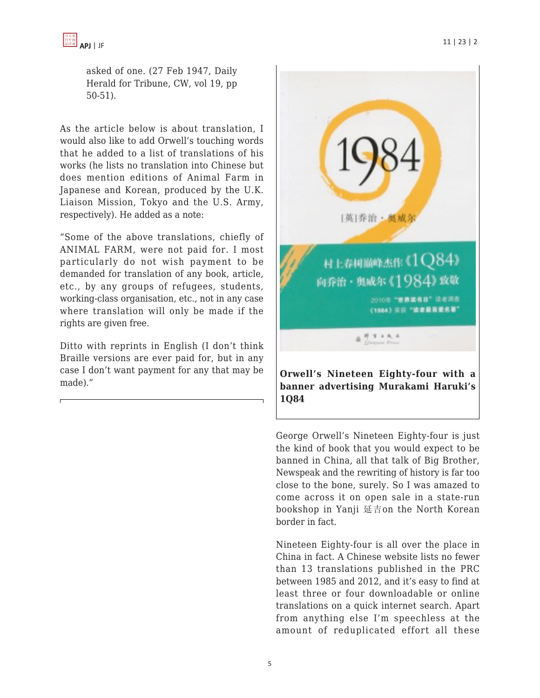asked of one. (27 Feb 1947, Daily Herald for Tribune, CW, vol 19, pp 50-51).

As the article below is about translation, I would also like to add Orwell's touching words that he added to a list of translations of his works (he lists no translation into Chinese but does mention editions of Animal Farm in Japanese and Korean, produced by the U.K. Liaison Mission, Tokyo and the U.S. Army, respectively). He added as a note:

"Some of the above translations, chiefly of ANIMAL FARM, were not paid for. I most particularly do not wish payment to be demanded for translation of any book, article, etc., by any groups of refugees, students, working-class organisation, etc., not in any case where translation will only be made if the rights are given free.

Ditto with reprints in English (I don't think Braille versions are ever paid for, but in any case I don't want payment for any that may be made)."



George Orwell's Nineteen Eighty-four is just the kind of book that you would expect to be banned in China, all that talk of Big Brother, Newspeak and the rewriting of history is far too close to the bone, surely. So I was amazed to come across it on open sale in a state-run bookshop in Yanji 延吉on the North Korean border in fact.

Nineteen Eighty-four is all over the place in China in fact. A Chinese website lists no fewer than 13 translations published in the PRC between 1985 and 2012, and it's easy to find at least three or four downloadable or online translations on a quick internet search. Apart from anything else I'm speechless at the amount of reduplicated effort all these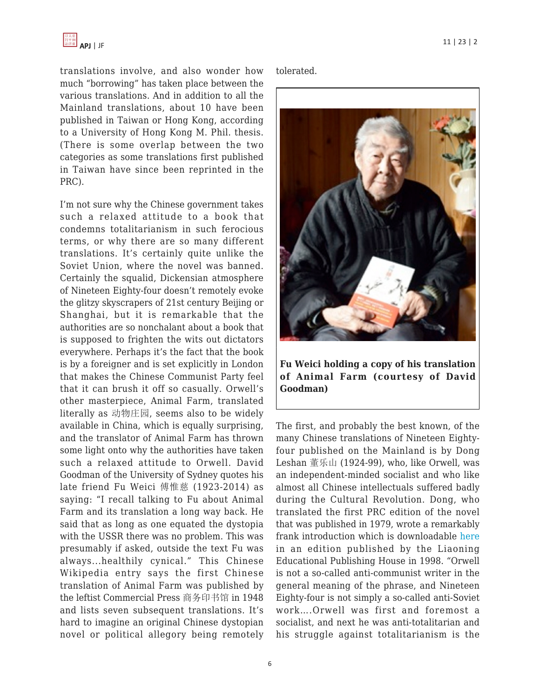translations involve, and also wonder how much "borrowing" has taken place between the various translations. And in addition to all the Mainland translations, about 10 have been published in Taiwan or Hong Kong, according to a University of Hong Kong M. Phil. thesis. (There is some overlap between the two categories as some translations first published in Taiwan have since been reprinted in the PRC).

I'm not sure why the Chinese government takes such a relaxed attitude to a book that condemns totalitarianism in such ferocious terms, or why there are so many different translations. It's certainly quite unlike the Soviet Union, where the novel was banned. Certainly the squalid, Dickensian atmosphere of Nineteen Eighty-four doesn't remotely evoke the glitzy skyscrapers of 21st century Beijing or Shanghai, but it is remarkable that the authorities are so nonchalant about a book that is supposed to frighten the wits out dictators everywhere. Perhaps it's the fact that the book is by a foreigner and is set explicitly in London that makes the Chinese Communist Party feel that it can brush it off so casually. Orwell's other masterpiece, Animal Farm, translated literally as 动物庄园, seems also to be widely available in China, which is equally surprising, and the translator of Animal Farm has thrown some light onto why the authorities have taken such a relaxed attitude to Orwell. David Goodman of the University of Sydney quotes his late friend Fu Weici 傅惟慈 (1923-2014) as saying: "I recall talking to Fu about Animal Farm and its translation a long way back. He said that as long as one equated the dystopia with the USSR there was no problem. This was presumably if asked, outside the text Fu was always...healthily cynical." This Chinese Wikipedia entry says the first Chinese translation of Animal Farm was published by the leftist Commercial Press 商务印书馆 in 1948 and lists seven subsequent translations. It's hard to imagine an original Chinese dystopian novel or political allegory being remotely tolerated.



**Fu Weici holding a copy of his translation of Animal Farm (courtesy of David Goodman)**

The first, and probably the best known, of the many Chinese translations of Nineteen Eightyfour published on the Mainland is by Dong Leshan 董乐山 (1924-99), who, like Orwell, was an independent-minded socialist and who like almost all Chinese intellectuals suffered badly during the Cultural Revolution. Dong, who translated the first PRC edition of the novel that was published in 1979, wrote a remarkably frank introduction which is downloadable [here](http://www.scribd.com/doc/241224223/1984-%E4%B8%AD%E6%96%87%E7%89%88) in an edition published by the Liaoning Educational Publishing House in 1998. "Orwell is not a so-called anti-communist writer in the general meaning of the phrase, and Nineteen Eighty-four is not simply a so-called anti-Soviet work….Orwell was first and foremost a socialist, and next he was anti-totalitarian and his struggle against totalitarianism is the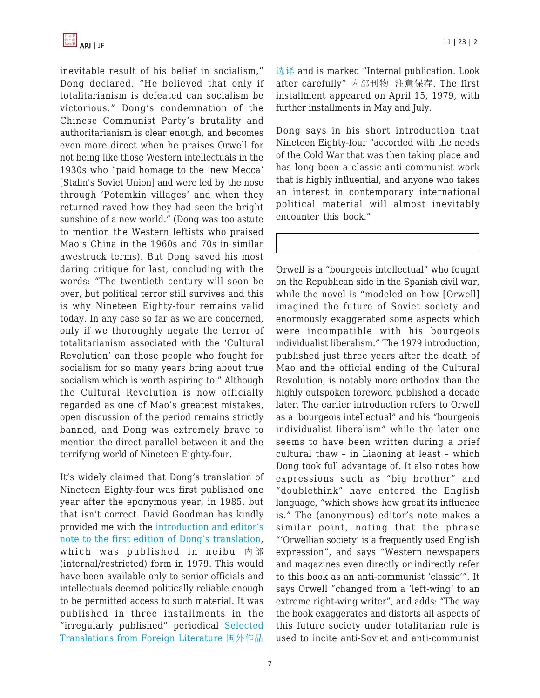

inevitable result of his belief in socialism," Dong declared. "He believed that only if totalitarianism is defeated can socialism be victorious." Dong's condemnation of the Chinese Communist Party's brutality and authoritarianism is clear enough, and becomes even more direct when he praises Orwell for not being like those Western intellectuals in the 1930s who "paid homage to the 'new Mecca' [Stalin's Soviet Union] and were led by the nose through 'Potemkin villages' and when they returned raved how they had seen the bright sunshine of a new world." (Dong was too astute to mention the Western leftists who praised Mao's China in the 1960s and 70s in similar awestruck terms). But Dong saved his most daring critique for last, concluding with the words: "The twentieth century will soon be over, but political terror still survives and this is why Nineteen Eighty-four remains valid today. In any case so far as we are concerned, only if we thoroughly negate the terror of totalitarianism associated with the 'Cultural Revolution' can those people who fought for socialism for so many years bring about true socialism which is worth aspiring to." Although the Cultural Revolution is now officially regarded as one of Mao's greatest mistakes, open discussion of the period remains strictly banned, and Dong was extremely brave to mention the direct parallel between it and the terrifying world of Nineteen Eighty-four.

It's widely claimed that Dong's translation of Nineteen Eighty-four was first published one year after the eponymous year, in 1985, but that isn't correct. David Goodman has kindly provided me with the [introduction and editor's](http://www.scribd.com/doc/219234574/First-Chinese-translation-of-Nineteen-Eighty-four) [note to the first edition of Dong's translation,](http://www.scribd.com/doc/219234574/First-Chinese-translation-of-Nineteen-Eighty-four) which was published in neibu 內部 (internal/restricted) form in 1979. This would have been available only to senior officials and intellectuals deemed politically reliable enough to be permitted access to such material. It was published in three installments in the "irregularly published" periodical [Selected](http://www.booyee.com.cn/user-bid.jsp?id=93732) [Translations from Foreign Literature](http://www.booyee.com.cn/user-bid.jsp?id=93732) [国外作品](http://www.booyee.com.cn/user-bid.jsp?id=93732)

[选译](http://www.booyee.com.cn/user-bid.jsp?id=93732) and is marked "Internal publication. Look after carefully" 内部刊物 注意保存. The first installment appeared on April 15, 1979, with further installments in May and July.

Dong says in his short introduction that Nineteen Eighty-four "accorded with the needs of the Cold War that was then taking place and has long been a classic anti-communist work that is highly influential, and anyone who takes an interest in contemporary international political material will almost inevitably encounter this book."

Orwell is a "bourgeois intellectual" who fought on the Republican side in the Spanish civil war, while the novel is "modeled on how [Orwell] imagined the future of Soviet society and enormously exaggerated some aspects which were incompatible with his bourgeois individualist liberalism." The 1979 introduction, published just three years after the death of Mao and the official ending of the Cultural Revolution, is notably more orthodox than the highly outspoken foreword published a decade later. The earlier introduction refers to Orwell as a 'bourgeois intellectual" and his "bourgeois individualist liberalism" while the later one seems to have been written during a brief cultural thaw – in Liaoning at least – which Dong took full advantage of. It also notes how expressions such as "big brother" and "doublethink" have entered the English language, "which shows how great its influence is." The (anonymous) editor's note makes a similar point, noting that the phrase "'Orwellian society' is a frequently used English expression", and says "Western newspapers and magazines even directly or indirectly refer to this book as an anti-communist 'classic'". It says Orwell "changed from a 'left-wing' to an extreme right-wing writer", and adds: "The way the book exaggerates and distorts all aspects of this future society under totalitarian rule is used to incite anti-Soviet and anti-communist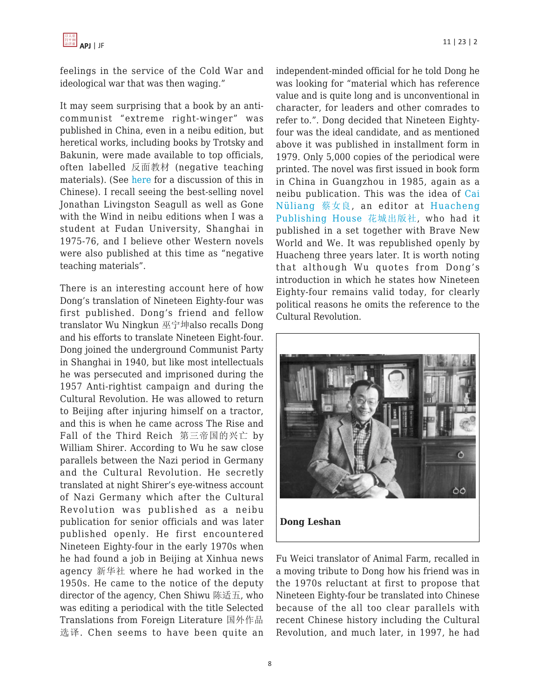

feelings in the service of the Cold War and ideological war that was then waging."

It may seem surprising that a book by an anticommunist "extreme right-winger" was published in China, even in a neibu edition, but heretical works, including books by Trotsky and Bakunin, were made available to top officials, often labelled 反面教材 (negative teaching materials). (See [here f](http://book.ifeng.com/special/neibushu/list/200906/0610_6795_1197414_2.shtml)or a discussion of this in Chinese). I recall seeing the best-selling novel Jonathan Livingston Seagull as well as Gone with the Wind in neibu editions when I was a student at Fudan University, Shanghai in 1975-76, and I believe other Western novels were also published at this time as "negative teaching materials".

There is an interesting account here of how Dong's translation of Nineteen Eighty-four was first published. Dong's friend and fellow translator Wu Ningkun 巫宁坤also recalls Dong and his efforts to translate Nineteen Eight-four. Dong joined the underground Communist Party in Shanghai in 1940, but like most intellectuals he was persecuted and imprisoned during the 1957 Anti-rightist campaign and during the Cultural Revolution. He was allowed to return to Beijing after injuring himself on a tractor, and this is when he came across The Rise and Fall of the Third Reich 第三帝国的兴亡 by William Shirer. According to Wu he saw close parallels between the Nazi period in Germany and the Cultural Revolution. He secretly translated at night Shirer's eye-witness account of Nazi Germany which after the Cultural Revolution was published as a neibu publication for senior officials and was later published openly. He first encountered Nineteen Eighty-four in the early 1970s when he had found a job in Beijing at Xinhua news agency 新华社 where he had worked in the 1950s. He came to the notice of the deputy director of the agency, Chen Shiwu 陈适五, who was editing a periodical with the title Selected Translations from Foreign Literature 国外作品 选译. Chen seems to have been quite an independent-minded official for he told Dong he was looking for "material which has reference value and is quite long and is unconventional in character, for leaders and other comrades to refer to.". Dong decided that Nineteen Eightyfour was the ideal candidate, and as mentioned above it was published in installment form in 1979. Only 5,000 copies of the periodical were printed. The novel was first issued in book form in China in Guangzhou in 1985, again as a neibu publication. This was the idea of [Cai](http://baike.baidu.com/view/1014101.htm) [Nüliang](http://baike.baidu.com/view/1014101.htm) [蔡女良](http://baike.baidu.com/view/1014101.htm), an editor at [Huacheng](http://www.fcph.com.cn/) [Publishing House](http://www.fcph.com.cn/) [花城出版社](http://www.fcph.com.cn/), who had it published in a set together with Brave New World and We. It was republished openly by Huacheng three years later. It is worth noting that although Wu quotes from Dong's introduction in which he states how Nineteen Eighty-four remains valid today, for clearly political reasons he omits the reference to the Cultural Revolution.



Fu Weici translator of Animal Farm, recalled in a moving tribute to Dong how his friend was in the 1970s reluctant at first to propose that Nineteen Eighty-four be translated into Chinese because of the all too clear parallels with recent Chinese history including the Cultural Revolution, and much later, in 1997, he had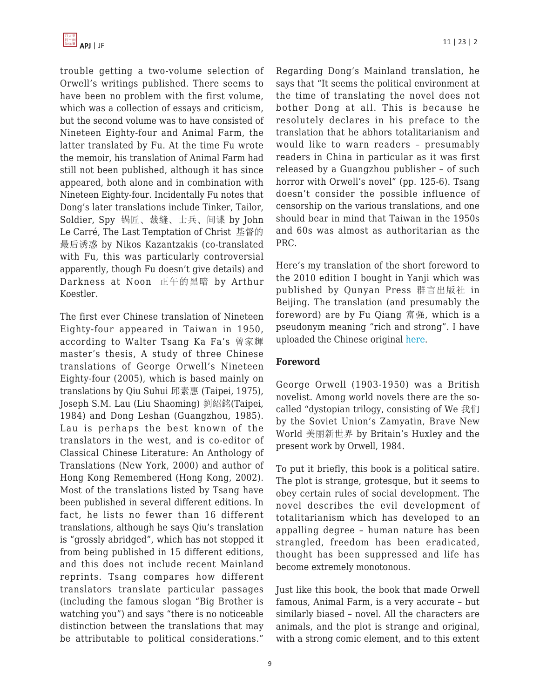trouble getting a two-volume selection of Orwell's writings published. There seems to have been no problem with the first volume, which was a collection of essays and criticism, but the second volume was to have consisted of Nineteen Eighty-four and Animal Farm, the latter translated by Fu. At the time Fu wrote the memoir, his translation of Animal Farm had still not been published, although it has since appeared, both alone and in combination with Nineteen Eighty-four. Incidentally Fu notes that Dong's later translations include Tinker, Tailor, Soldier, Spy 锅匠、裁缝、士兵、间谍 by John Le Carré, The Last Temptation of Christ 基督的 最后诱惑 by Nikos Kazantzakis (co-translated with Fu, this was particularly controversial apparently, though Fu doesn't give details) and Darkness at Noon 正午的黑暗 by Arthur Koestler.

The first ever Chinese translation of Nineteen Eighty-four appeared in Taiwan in 1950, according to Walter Tsang Ka Fa's 曾家輝 master's thesis, A study of three Chinese translations of George Orwell's Nineteen Eighty-four (2005), which is based mainly on translations by Qiu Suhui 邱素惠 (Taipei, 1975), Joseph S.M. Lau (Liu Shaoming) 劉紹銘(Taipei, 1984) and Dong Leshan (Guangzhou, 1985). Lau is perhaps the best known of the translators in the west, and is co-editor of Classical Chinese Literature: An Anthology of Translations (New York, 2000) and author of Hong Kong Remembered (Hong Kong, 2002). Most of the translations listed by Tsang have been published in several different editions. In fact, he lists no fewer than 16 different translations, although he says Qiu's translation is "grossly abridged", which has not stopped it from being published in 15 different editions, and this does not include recent Mainland reprints. Tsang compares how different translators translate particular passages (including the famous slogan "Big Brother is watching you") and says "there is no noticeable distinction between the translations that may be attributable to political considerations."

Regarding Dong's Mainland translation, he says that "It seems the political environment at the time of translating the novel does not bother Dong at all. This is because he resolutely declares in his preface to the translation that he abhors totalitarianism and would like to warn readers – presumably readers in China in particular as it was first released by a Guangzhou publisher – of such horror with Orwell's novel" (pp. 125-6). Tsang doesn't consider the possible influence of censorship on the various translations, and one should bear in mind that Taiwan in the 1950s and 60s was almost as authoritarian as the PRC.

Here's my translation of the short foreword to the 2010 edition I bought in Yanji which was published by Qunyan Press 群言出版社 in Beijing. The translation (and presumably the foreword) are by Fu Qiang 富强, which is a pseudonym meaning "rich and strong". I have uploaded the Chinese original [here.](http://www.scribd.com/doc/221010820/Introduction-to-2010-Chinese-translation-of-Nineteen-Eighty-four)

## **Foreword**

George Orwell (1903-1950) was a British novelist. Among world novels there are the socalled "dystopian trilogy, consisting of We 我们 by the Soviet Union's Zamyatin, Brave New World 美丽新世界 by Britain's Huxley and the present work by Orwell, 1984.

To put it briefly, this book is a political satire. The plot is strange, grotesque, but it seems to obey certain rules of social development. The novel describes the evil development of totalitarianism which has developed to an appalling degree – human nature has been strangled, freedom has been eradicated, thought has been suppressed and life has become extremely monotonous.

Just like this book, the book that made Orwell famous, Animal Farm, is a very accurate – but similarly biased – novel. All the characters are animals, and the plot is strange and original, with a strong comic element, and to this extent